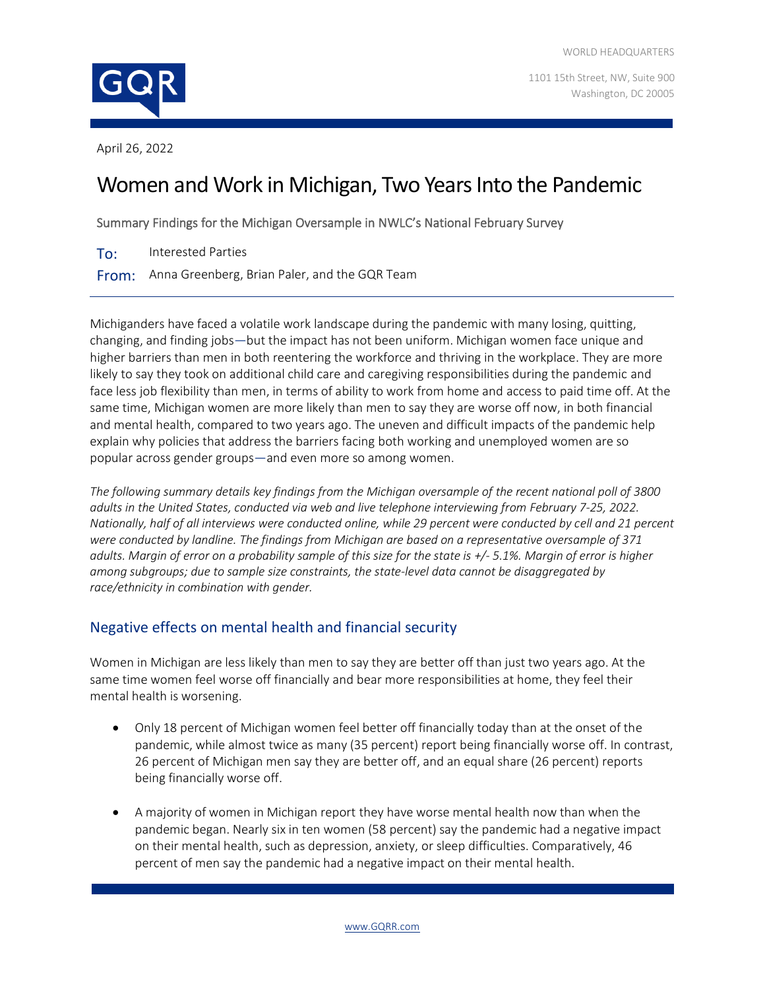

1101 15th Street, NW, Suite 900 Washington, DC 20005

April 26, 2022

# Women and Work in Michigan, Two Years Into the Pandemic

Summary Findings for the Michigan Oversample in NWLC's National February Survey

To: Interested Parties

From: Anna Greenberg, Brian Paler, and the GQR Team

Michiganders have faced a volatile work landscape during the pandemic with many losing, quitting, changing, and finding jobs—but the impact has not been uniform. Michigan women face unique and higher barriers than men in both reentering the workforce and thriving in the workplace. They are more likely to say they took on additional child care and caregiving responsibilities during the pandemic and face less job flexibility than men, in terms of ability to work from home and access to paid time off. At the same time, Michigan women are more likely than men to say they are worse off now, in both financial and mental health, compared to two years ago. The uneven and difficult impacts of the pandemic help explain why policies that address the barriers facing both working and unemployed women are so popular across gender groups—and even more so among women.

*The following summary details key findings from the Michigan oversample of the recent national poll of 3800 adults in the United States, conducted via web and live telephone interviewing from February 7-25, 2022. Nationally, half of all interviews were conducted online, while 29 percent were conducted by cell and 21 percent were conducted by landline. The findings from Michigan are based on a representative oversample of 371 adults. Margin of error on a probability sample of this size for the state is +/- 5.1%. Margin of error is higher among subgroups; due to sample size constraints, the state-level data cannot be disaggregated by race/ethnicity in combination with gender.*

# Negative effects on mental health and financial security

Women in Michigan are less likely than men to say they are better off than just two years ago. At the same time women feel worse off financially and bear more responsibilities at home, they feel their mental health is worsening.

- Only 18 percent of Michigan women feel better off financially today than at the onset of the pandemic, while almost twice as many (35 percent) report being financially worse off. In contrast, 26 percent of Michigan men say they are better off, and an equal share (26 percent) reports being financially worse off.
- A majority of women in Michigan report they have worse mental health now than when the pandemic began. Nearly six in ten women (58 percent) say the pandemic had a negative impact on their mental health, such as depression, anxiety, or sleep difficulties. Comparatively, 46 percent of men say the pandemic had a negative impact on their mental health.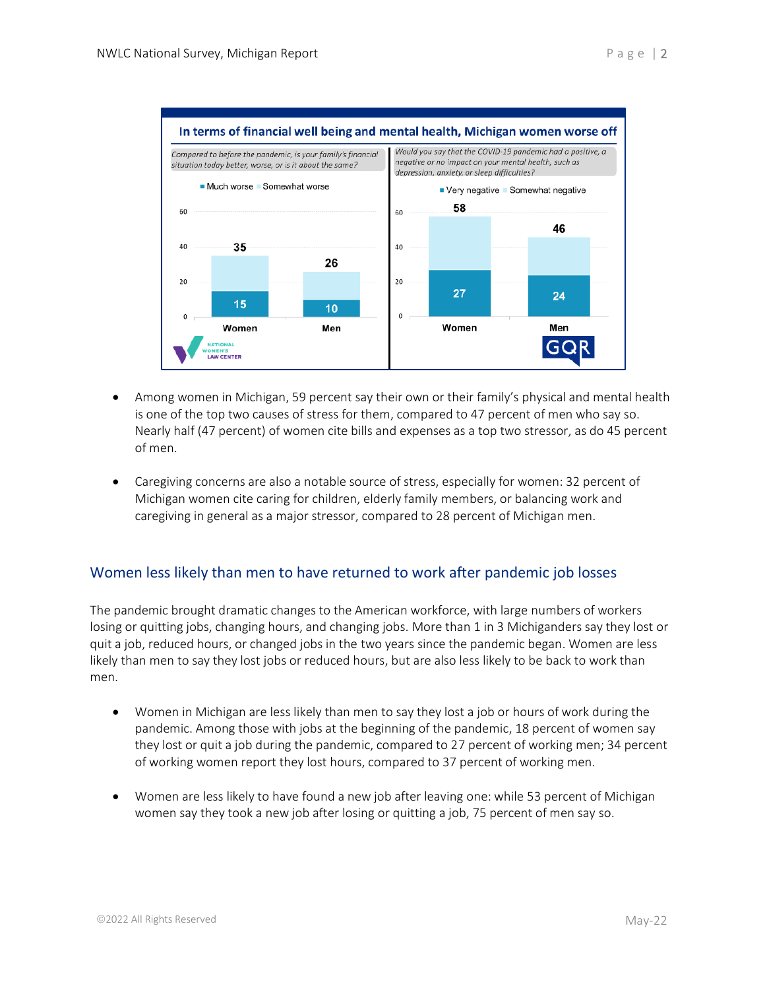

- Among women in Michigan, 59 percent say their own or their family's physical and mental health is one of the top two causes of stress for them, compared to 47 percent of men who say so. Nearly half (47 percent) of women cite bills and expenses as a top two stressor, as do 45 percent of men.
- Caregiving concerns are also a notable source of stress, especially for women: 32 percent of Michigan women cite caring for children, elderly family members, or balancing work and caregiving in general as a major stressor, compared to 28 percent of Michigan men.

#### Women less likely than men to have returned to work after pandemic job losses

The pandemic brought dramatic changes to the American workforce, with large numbers of workers losing or quitting jobs, changing hours, and changing jobs. More than 1 in 3 Michiganders say they lost or quit a job, reduced hours, or changed jobs in the two years since the pandemic began. Women are less likely than men to say they lost jobs or reduced hours, but are also less likely to be back to work than men.

- Women in Michigan are less likely than men to say they lost a job or hours of work during the pandemic. Among those with jobs at the beginning of the pandemic, 18 percent of women say they lost or quit a job during the pandemic, compared to 27 percent of working men; 34 percent of working women report they lost hours, compared to 37 percent of working men.
- Women are less likely to have found a new job after leaving one: while 53 percent of Michigan women say they took a new job after losing or quitting a job, 75 percent of men say so.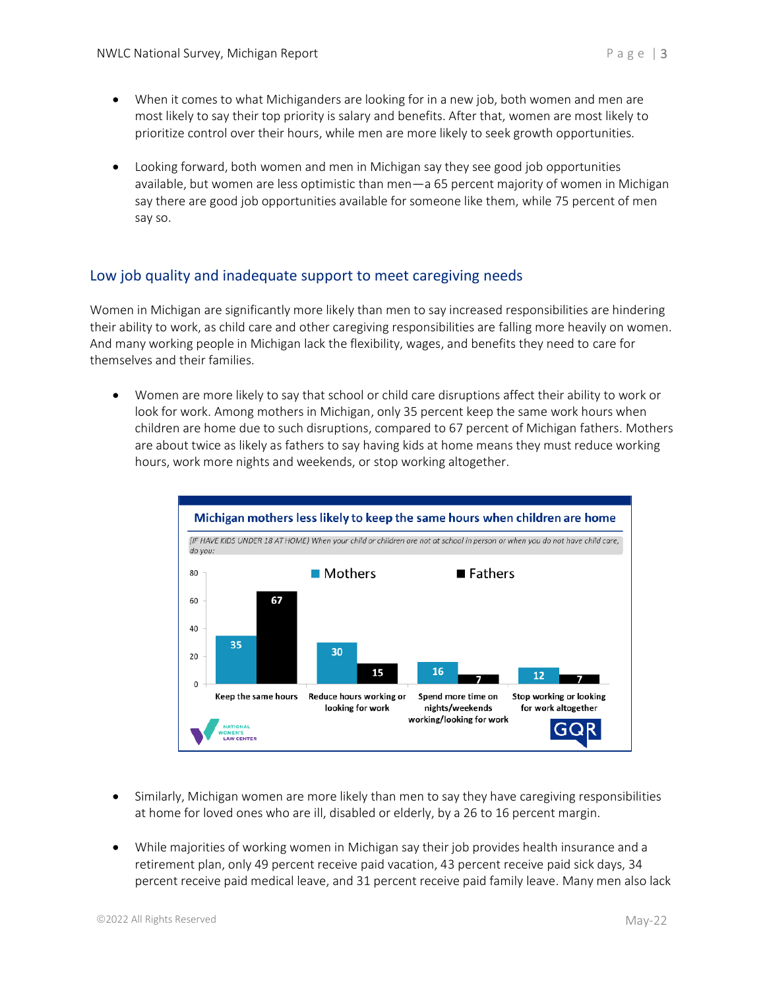- When it comes to what Michiganders are looking for in a new job, both women and men are most likely to say their top priority is salary and benefits. After that, women are most likely to prioritize control over their hours, while men are more likely to seek growth opportunities.
- Looking forward, both women and men in Michigan say they see good job opportunities available, but women are less optimistic than men—a 65 percent majority of women in Michigan say there are good job opportunities available for someone like them, while 75 percent of men say so.

### Low job quality and inadequate support to meet caregiving needs

Women in Michigan are significantly more likely than men to say increased responsibilities are hindering their ability to work, as child care and other caregiving responsibilities are falling more heavily on women. And many working people in Michigan lack the flexibility, wages, and benefits they need to care for themselves and their families.

• Women are more likely to say that school or child care disruptions affect their ability to work or look for work. Among mothers in Michigan, only 35 percent keep the same work hours when children are home due to such disruptions, compared to 67 percent of Michigan fathers. Mothers are about twice as likely as fathers to say having kids at home means they must reduce working hours, work more nights and weekends, or stop working altogether.



- Similarly, Michigan women are more likely than men to say they have caregiving responsibilities at home for loved ones who are ill, disabled or elderly, by a 26 to 16 percent margin.
- While majorities of working women in Michigan say their job provides health insurance and a retirement plan, only 49 percent receive paid vacation, 43 percent receive paid sick days, 34 percent receive paid medical leave, and 31 percent receive paid family leave. Many men also lack